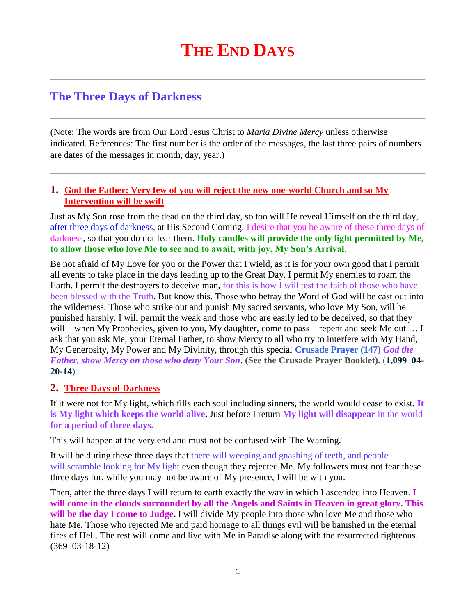## **The Three Days of Darkness**

(Note: The words are from Our Lord Jesus Christ to *Maria Divine Mercy* unless otherwise indicated. References: The first number is the order of the messages, the last three pairs of numbers are dates of the messages in month, day, year.)

## **1. [God the Father: Very few of you will reject the new one-world Church and so My](http://www.thewarningsecondcoming.com/god-the-father-very-few-of-you-will-reject-the-new-one-world-church-and-so-my-intervention-will-be-swift/)  [Intervention will be swift](http://www.thewarningsecondcoming.com/god-the-father-very-few-of-you-will-reject-the-new-one-world-church-and-so-my-intervention-will-be-swift/)**

Just as My Son rose from the dead on the third day, so too will He reveal Himself on the third day, after three days of darkness, at His Second Coming. I desire that you be aware of these three days of darkness, so that you do not fear them. **Holy candles will provide the only light permitted by Me, to allow those who love Me to see and to await, with joy, My Son's Arrival**.

Be not afraid of My Love for you or the Power that I wield, as it is for your own good that I permit all events to take place in the days leading up to the Great Day. I permit My enemies to roam the Earth. I permit the destroyers to deceive man, for this is how I will test the faith of those who have been blessed with the Truth. But know this. Those who betray the Word of God will be cast out into the wilderness. Those who strike out and punish My sacred servants, who love My Son, will be punished harshly. I will permit the weak and those who are easily led to be deceived, so that they will – when My Prophecies, given to you, My daughter, come to pass – repent and seek Me out ... I ask that you ask Me, your Eternal Father, to show Mercy to all who try to interfere with My Hand, My Generosity, My Power and My Divinity, through this special **Crusade Prayer (147)** *God the Father, show Mercy on those who deny Your Son*. **(See the Crusade Prayer Booklet).** (**1,099 04- 20-14**)

## **2. Three Days of Darkness**

If it were not for My light, which fills each soul including sinners, the world would cease to exist. **It is My light which keeps the world alive.** Just before I return **My light will disappear** in the world **for a period of three days.**

This will happen at the very end and must not be confused with The Warning.

It will be during these three days that there will weeping and gnashing of teeth, and people will scramble looking for My light even though they rejected Me. My followers must not fear these three days for, while you may not be aware of My presence, I will be with you.

Then, after the three days I will return to earth exactly the way in which I ascended into Heaven. **I will come in the clouds surrounded by all the Angels and Saints in Heaven in great glory. This will be the day I come to Judge.** I will divide My people into those who love Me and those who hate Me. Those who rejected Me and paid homage to all things evil will be banished in the eternal fires of Hell. The rest will come and live with Me in Paradise along with the resurrected righteous. (369 03-18-12)